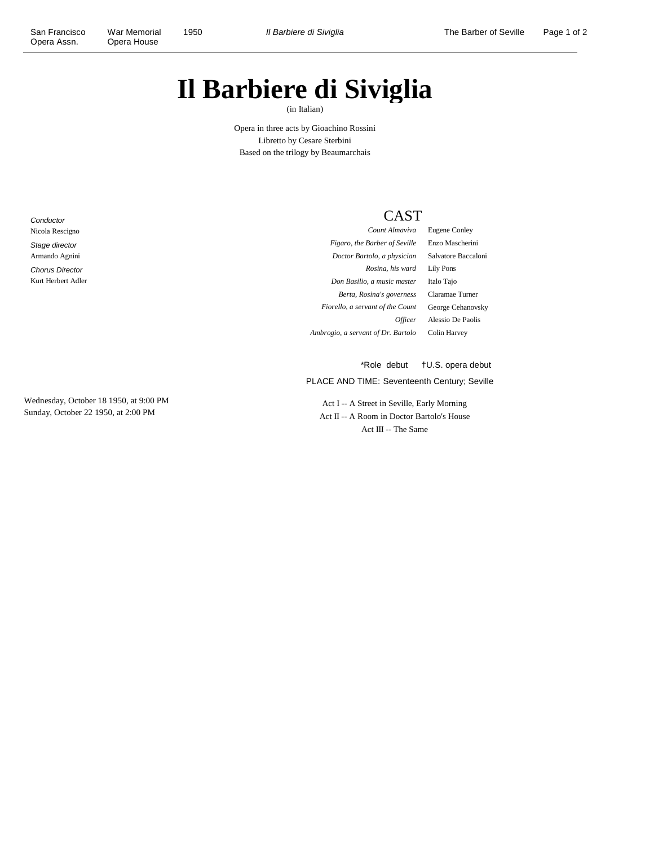# **Il Barbiere di Siviglia**

(in Italian)

Opera in three acts by Gioachino Rossini Libretto by Cesare Sterbini Based on the trilogy by Beaumarchais

**Conductor** Nicola Rescigno Stage director Armando Agnini Chorus Director Kurt Herbert Adler

Wednesday, October 18 1950, at 9:00 PM Sunday, October 22 1950, at 2:00 PM

# CAST

*Count Almaviva* Eugene Conley *Figaro, the Barber of Seville* Enzo Mascherini *Doctor Bartolo, a physician* Salvatore Baccaloni *Rosina, his ward* Lily Pons *Don Basilio, a music master* Italo Tajo *Berta, Rosina's governess* Claramae Turner *Fiorello, a servant of the Count* George Cehanovsky *Officer* Alessio De Paolis *Ambrogio, a servant of Dr. Bartolo* Colin Harvey

PLACE AND TIME: Seventeenth Century; Seville \*Role debut †U.S. opera debut

Act I -- A Street in Seville, Early Morning Act II -- A Room in Doctor Bartolo's House Act III -- The Same